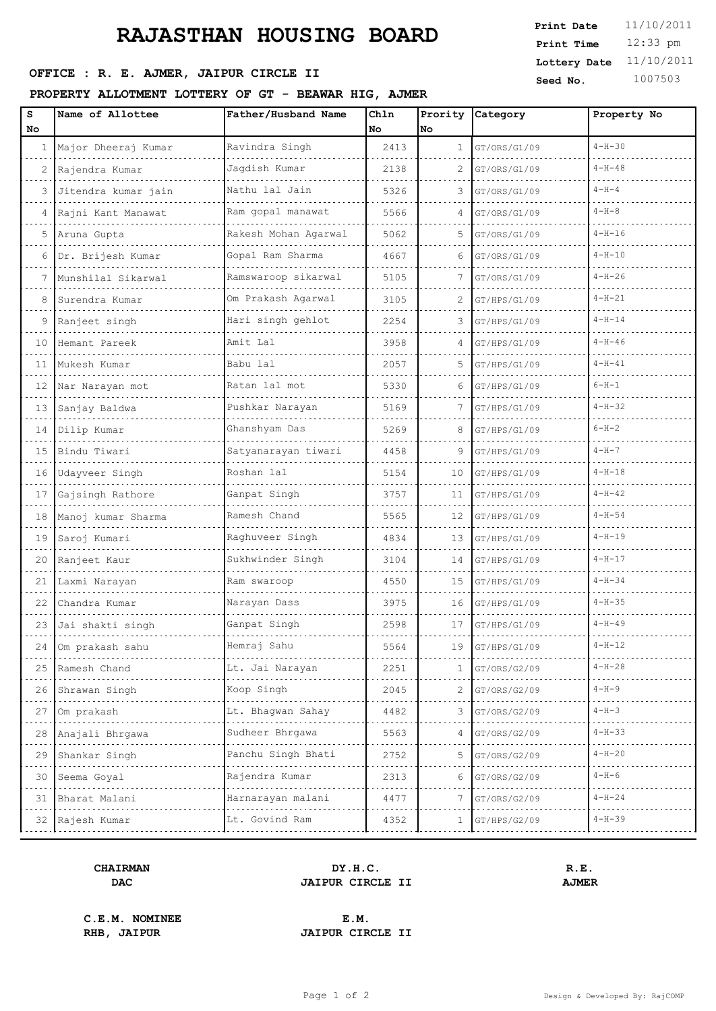# **RAJASTHAN HOUSING BOARD**

# **OFFICE : R. E. AJMER, JAIPUR CIRCLE II** Seed No. 1007503

### **PROPERTY ALLOTMENT LOTTERY OF GT - BEAWAR HIG, AJMER**

| s<br>No        | Name of Allottee    | Father/Husband Name  | Chln<br>No | Prority<br>No | Category     | Property No  |
|----------------|---------------------|----------------------|------------|---------------|--------------|--------------|
| 1              | Major Dheeraj Kumar | Ravindra Singh       | 2413       | 1             | GT/ORS/G1/09 | $4 - H - 30$ |
| $\overline{c}$ | Rajendra Kumar      | Jagdish Kumar        | 2138       | 2             | GT/ORS/G1/09 | $4 - H - 48$ |
| 3              | Jitendra kumar jain | Nathu lal Jain       | 5326       | 3             | GT/ORS/G1/09 | $4 - H - 4$  |
| 4              | Rajni Kant Manawat  | Ram gopal manawat    | 5566       | 4             | GT/ORS/G1/09 | $4 - H - 8$  |
| 5              | Aruna Gupta         | Rakesh Mohan Agarwal | 5062       | 5             | GT/ORS/G1/09 | $4 - H - 16$ |
| 6              | Dr. Brijesh Kumar   | Gopal Ram Sharma     | 4667       | 6             | GT/ORS/G1/09 | $4 - H - 10$ |
| 7              | Munshilal Sikarwal  | Ramswaroop sikarwal  | 5105       |               | GT/ORS/G1/09 | $4-H-26$     |
| 8              | Surendra Kumar      | Om Prakash Agarwal   | 3105       | 2             | GT/HPS/G1/09 | $4 - H - 21$ |
| 9              | Ranjeet singh       | Hari singh gehlot    | 2254       | 3             | GT/HPS/G1/09 | $4 - H - 14$ |
| 10             | Hemant Pareek       | Amit Lal             | 3958       | 4             | GT/HPS/G1/09 | $4-H-46$     |
| 11             | Mukesh Kumar        | Babu lal             | 2057       | 5             | GT/HPS/G1/09 | $4 - H - 41$ |
| 12             | Nar Narayan mot     | Ratan lal mot        | 5330       | 6             | GT/HPS/G1/09 | $6 - H - 1$  |
| 13             | Sanjay Baldwa       | Pushkar Narayan      | 5169       | 7             | GT/HPS/G1/09 | $4 - H - 32$ |
|                | 14 Dilip Kumar      | Ghanshyam Das        | 5269       | 8             | GT/HPS/G1/09 | $6 - H - 2$  |
| 15             | Bindu Tiwari        | Satyanarayan tiwari  | 4458       | 9             | GT/HPS/G1/09 | $4 - H - 7$  |
|                | 16 Udayveer Singh   | Roshan lal           | 5154       | 10            | GT/HPS/G1/09 | $4 - H - 18$ |
| 17             | Gajsingh Rathore    | Ganpat Singh         | 3757       | 11            | GT/HPS/G1/09 | $4 - H - 42$ |
| 18             | Manoj kumar Sharma  | Ramesh Chand         | 5565       | 12            | GT/HPS/G1/09 | $4 - H - 54$ |
| 19             | Saroj Kumari        | Raghuveer Singh      | 4834       | 13            | GT/HPS/G1/09 | $4 - H - 19$ |
| 20             | Ranjeet Kaur        | Sukhwinder Singh     | 3104       | 14            | GT/HPS/G1/09 | $4 - H - 17$ |
| 21             | Laxmi Narayan       | Ram swaroop          | 4550       | 15            | GT/HPS/G1/09 | $4 - H - 34$ |
| 22             | Chandra Kumar       | Narayan Dass         | 3975       | 16            | GT/HPS/G1/09 | $4 - H - 35$ |
|                | 23 Jai shakti singh | Ganpat Singh         | 2598       | 17            | GT/HPS/G1/09 | $4 - H - 49$ |
| 24             | Om prakash sahu     | Hemraj Sahu          | 5564       | 19            | GT/HPS/G1/09 | $4 - H - 12$ |
|                | 25 Ramesh Chand     | Lt. Jai Narayan      | 2251       |               | GT/ORS/G2/09 | $4 - H - 28$ |
| 26             | Shrawan Singh       | Koop Singh           | 2045       |               | GT/ORS/G2/09 | $4 - H - 9$  |
| 27             | Om prakash          | Lt. Bhagwan Sahay    | 4482       | 3             | GT/ORS/G2/09 | $4 - H - 3$  |
| 28 I           | Anajali Bhrgawa     | Sudheer Bhrgawa      | 5563       |               | GT/ORS/G2/09 | $4 - H - 33$ |
| 29             | Shankar Singh       | Panchu Singh Bhati   | 2752       | 5             | GT/ORS/G2/09 | $4 - H - 20$ |
|                | 30 Seema Goyal      | Rajendra Kumar       | 2313       | 6             | GT/ORS/G2/09 | $4 - H - 6$  |
|                | 31   Bharat Malani  | Harnarayan malani    | 4477       |               | GT/ORS/G2/09 | $4 - H - 24$ |
|                | 32   Rajesh Kumar   | Lt. Govind Ram       | 4352       | 1             | GT/HPS/G2/09 | $4 - H - 39$ |
|                |                     |                      |            |               |              |              |

#### **CHAIRMAN DY.H.C. R.E. DAC JAIPUR CIRCLE II AJMER**

**C.E.M. NOMINEE E.M.**

**RHB, JAIPUR JAIPUR CIRCLE II**